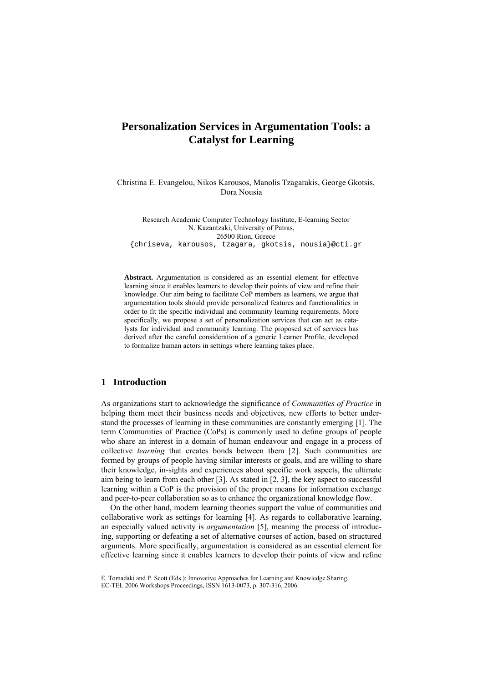# **Personalization Services in Argumentation Tools: a Catalyst for Learning**

Christina E. Evangelou, Nikos Karousos, Manolis Tzagarakis, George Gkotsis, Dora Nousia

Research Academic Computer Technology Institute, E-learning Sector N. Kazantzaki, University of Patras, 26500 Rion, Greece {chriseva, karousos, tzagara, gkotsis, nousia}@cti.gr

**Abstract.** Argumentation is considered as an essential element for effective learning since it enables learners to develop their points of view and refine their knowledge. Our aim being to facilitate CoP members as learners, we argue that argumentation tools should provide personalized features and functionalities in order to fit the specific individual and community learning requirements. More specifically, we propose a set of personalization services that can act as catalysts for individual and community learning. The proposed set of services has derived after the careful consideration of a generic Learner Profile, developed to formalize human actors in settings where learning takes place.

# **1 Introduction**

As organizations start to acknowledge the significance of *Communities of Practice* in helping them meet their business needs and objectives, new efforts to better understand the processes of learning in these communities are constantly emerging [1]. The term Communities of Practice (CoPs) is commonly used to define groups of people who share an interest in a domain of human endeavour and engage in a process of collective *learning* that creates bonds between them [2]. Such communities are formed by groups of people having similar interests or goals, and are willing to share their knowledge, in-sights and experiences about specific work aspects, the ultimate aim being to learn from each other [3]. As stated in [2, 3], the key aspect to successful learning within a CoP is the provision of the proper means for information exchange and peer-to-peer collaboration so as to enhance the organizational knowledge flow.

On the other hand, modern learning theories support the value of communities and collaborative work as settings for learning [4]. As regards to collaborative learning, an especially valued activity is *argumentation* [5], meaning the process of introducing, supporting or defeating a set of alternative courses of action, based on structured arguments. More specifically, argumentation is considered as an essential element for effective learning since it enables learners to develop their points of view and refine

E. Tomadaki and P. Scott (Eds.): Innovative Approaches for Learning and Knowledge Sharing, EC-TEL 2006 Workshops Proceedings, ISSN 1613-0073, p. 307-316, 2006.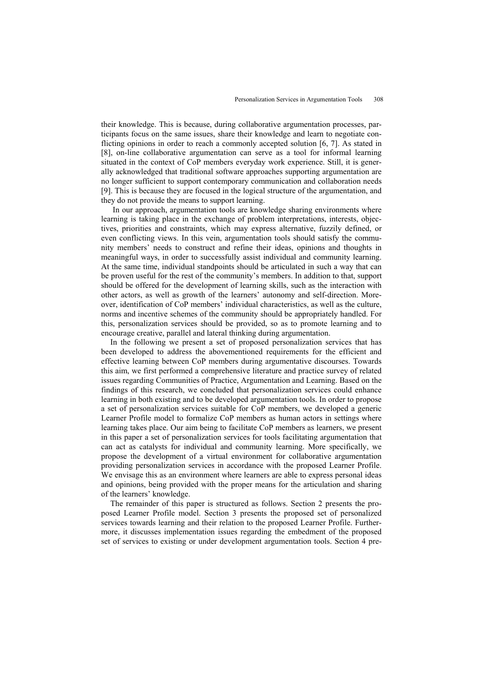their knowledge. This is because, during collaborative argumentation processes, participants focus on the same issues, share their knowledge and learn to negotiate conflicting opinions in order to reach a commonly accepted solution [6, 7]. As stated in [8], on-line collaborative argumentation can serve as a tool for informal learning situated in the context of CoP members everyday work experience. Still, it is generally acknowledged that traditional software approaches supporting argumentation are no longer sufficient to support contemporary communication and collaboration needs [9]. This is because they are focused in the logical structure of the argumentation, and they do not provide the means to support learning.

In our approach, argumentation tools are knowledge sharing environments where learning is taking place in the exchange of problem interpretations, interests, objectives, priorities and constraints, which may express alternative, fuzzily defined, or even conflicting views. In this vein, argumentation tools should satisfy the community members' needs to construct and refine their ideas, opinions and thoughts in meaningful ways, in order to successfully assist individual and community learning. At the same time, individual standpoints should be articulated in such a way that can be proven useful for the rest of the community's members. In addition to that, support should be offered for the development of learning skills, such as the interaction with other actors, as well as growth of the learners' autonomy and self-direction. Moreover, identification of CoP members' individual characteristics, as well as the culture, norms and incentive schemes of the community should be appropriately handled. For this, personalization services should be provided, so as to promote learning and to encourage creative, parallel and lateral thinking during argumentation.

In the following we present a set of proposed personalization services that has been developed to address the abovementioned requirements for the efficient and effective learning between CoP members during argumentative discourses. Towards this aim, we first performed a comprehensive literature and practice survey of related issues regarding Communities of Practice, Argumentation and Learning. Based on the findings of this research, we concluded that personalization services could enhance learning in both existing and to be developed argumentation tools. In order to propose a set of personalization services suitable for CoP members, we developed a generic Learner Profile model to formalize CoP members as human actors in settings where learning takes place. Our aim being to facilitate CoP members as learners, we present in this paper a set of personalization services for tools facilitating argumentation that can act as catalysts for individual and community learning. More specifically, we propose the development of a virtual environment for collaborative argumentation providing personalization services in accordance with the proposed Learner Profile. We envisage this as an environment where learners are able to express personal ideas and opinions, being provided with the proper means for the articulation and sharing of the learners' knowledge.

The remainder of this paper is structured as follows. Section 2 presents the proposed Learner Profile model. Section 3 presents the proposed set of personalized services towards learning and their relation to the proposed Learner Profile. Furthermore, it discusses implementation issues regarding the embedment of the proposed set of services to existing or under development argumentation tools. Section 4 pre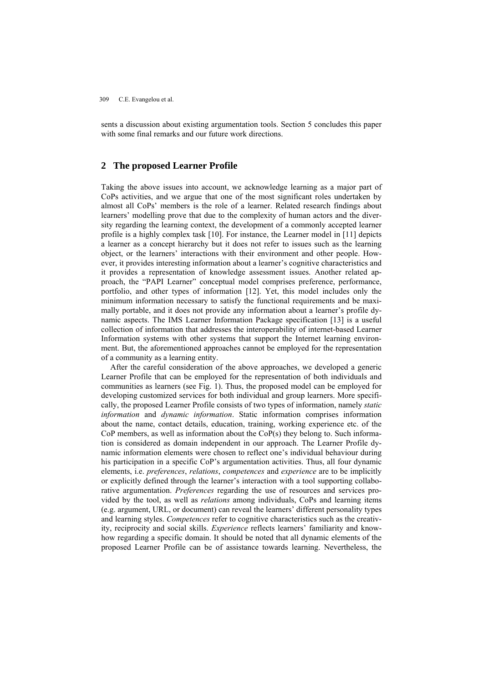sents a discussion about existing argumentation tools. Section 5 concludes this paper with some final remarks and our future work directions.

# **2 The proposed Learner Profile**

Taking the above issues into account, we acknowledge learning as a major part of CoPs activities, and we argue that one of the most significant roles undertaken by almost all CoPs' members is the role of a learner. Related research findings about learners' modelling prove that due to the complexity of human actors and the diversity regarding the learning context, the development of a commonly accepted learner profile is a highly complex task [10]. For instance, the Learner model in [11] depicts a learner as a concept hierarchy but it does not refer to issues such as the learning object, or the learners' interactions with their environment and other people. However, it provides interesting information about a learner's cognitive characteristics and it provides a representation of knowledge assessment issues. Another related approach, the "PAPI Learner" conceptual model comprises preference, performance, portfolio, and other types of information [12]. Yet, this model includes only the minimum information necessary to satisfy the functional requirements and be maximally portable, and it does not provide any information about a learner's profile dynamic aspects. The IMS Learner Information Package specification [13] is a useful collection of information that addresses the interoperability of internet-based Learner Information systems with other systems that support the Internet learning environment. But, the aforementioned approaches cannot be employed for the representation of a community as a learning entity.

After the careful consideration of the above approaches, we developed a generic Learner Profile that can be employed for the representation of both individuals and communities as learners (see Fig. 1). Thus, the proposed model can be employed for developing customized services for both individual and group learners. More specifically, the proposed Learner Profile consists of two types of information, namely *static information* and *dynamic information*. Static information comprises information about the name, contact details, education, training, working experience etc. of the  $CoP$  members, as well as information about the  $CoP(s)$  they belong to. Such information is considered as domain independent in our approach. The Learner Profile dynamic information elements were chosen to reflect one's individual behaviour during his participation in a specific CoP's argumentation activities. Thus, all four dynamic elements, i.e. *preferences*, *relations*, *competences* and *experience* are to be implicitly or explicitly defined through the learner's interaction with a tool supporting collaborative argumentation. *Preferences* regarding the use of resources and services provided by the tool, as well as *relations* among individuals, CoPs and learning items (e.g. argument, URL, or document) can reveal the learners' different personality types and learning styles. *Competences* refer to cognitive characteristics such as the creativity, reciprocity and social skills. *Experience* reflects learners' familiarity and knowhow regarding a specific domain. It should be noted that all dynamic elements of the proposed Learner Profile can be of assistance towards learning. Nevertheless, the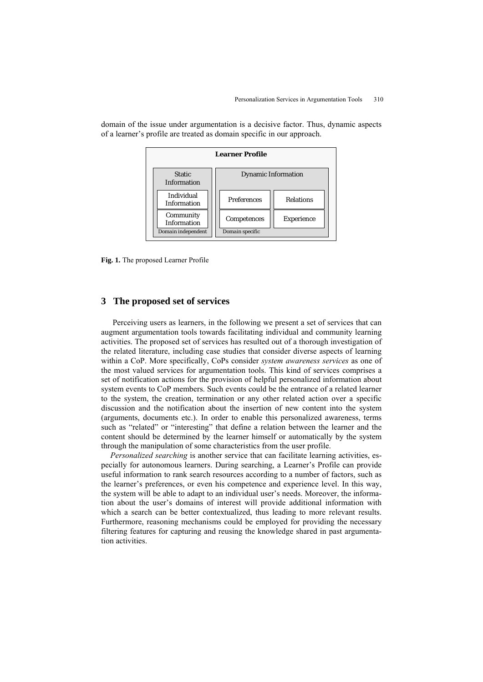| <b>Learner Profile</b>           |                            |                   |
|----------------------------------|----------------------------|-------------------|
| <b>Static</b><br>Information     | <b>Dynamic Information</b> |                   |
| Individual<br><b>Information</b> | Preferences                | <b>Relations</b>  |
| Community<br><b>Information</b>  | Competences                | <b>Experience</b> |
| Domain independent               | Domain specific            |                   |

domain of the issue under argumentation is a decisive factor. Thus, dynamic aspects of a learner's profile are treated as domain specific in our approach.

**Fig. 1.** The proposed Learner Profile

## **3 The proposed set of services**

Perceiving users as learners, in the following we present a set of services that can augment argumentation tools towards facilitating individual and community learning activities. The proposed set of services has resulted out of a thorough investigation of the related literature, including case studies that consider diverse aspects of learning within a CoP. More specifically, CoPs consider *system awareness services* as one of the most valued services for argumentation tools. This kind of services comprises a set of notification actions for the provision of helpful personalized information about system events to CoP members. Such events could be the entrance of a related learner to the system, the creation, termination or any other related action over a specific discussion and the notification about the insertion of new content into the system (arguments, documents etc.). In order to enable this personalized awareness, terms such as "related" or "interesting" that define a relation between the learner and the content should be determined by the learner himself or automatically by the system through the manipulation of some characteristics from the user profile.

*Personalized searching* is another service that can facilitate learning activities, especially for autonomous learners. During searching, a Learner's Profile can provide useful information to rank search resources according to a number of factors, such as the learner's preferences, or even his competence and experience level. In this way, the system will be able to adapt to an individual user's needs. Moreover, the information about the user's domains of interest will provide additional information with which a search can be better contextualized, thus leading to more relevant results. Furthermore, reasoning mechanisms could be employed for providing the necessary filtering features for capturing and reusing the knowledge shared in past argumentation activities.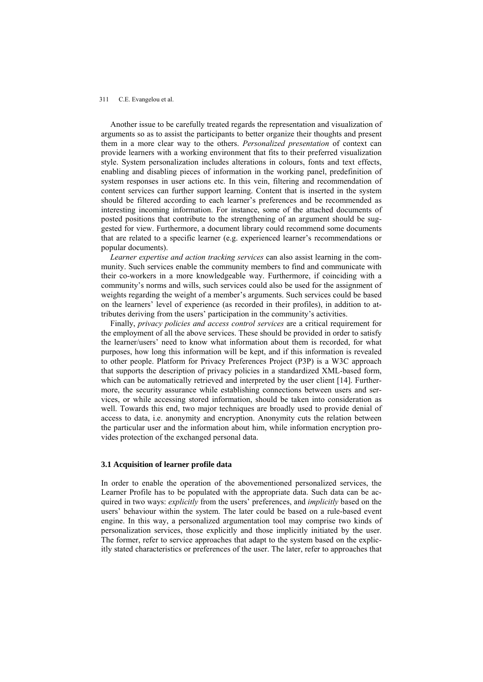#### 311 C.E. Evangelou et al.

Another issue to be carefully treated regards the representation and visualization of arguments so as to assist the participants to better organize their thoughts and present them in a more clear way to the others. *Personalized presentation* of context can provide learners with a working environment that fits to their preferred visualization style. System personalization includes alterations in colours, fonts and text effects, enabling and disabling pieces of information in the working panel, predefinition of system responses in user actions etc. In this vein, filtering and recommendation of content services can further support learning. Content that is inserted in the system should be filtered according to each learner's preferences and be recommended as interesting incoming information. For instance, some of the attached documents of posted positions that contribute to the strengthening of an argument should be suggested for view. Furthermore, a document library could recommend some documents that are related to a specific learner (e.g. experienced learner's recommendations or popular documents).

*Learner expertise and action tracking services* can also assist learning in the community. Such services enable the community members to find and communicate with their co-workers in a more knowledgeable way. Furthermore, if coinciding with a community's norms and wills, such services could also be used for the assignment of weights regarding the weight of a member's arguments. Such services could be based on the learners' level of experience (as recorded in their profiles), in addition to attributes deriving from the users' participation in the community's activities.

Finally, *privacy policies and access control services* are a critical requirement for the employment of all the above services. These should be provided in order to satisfy the learner/users' need to know what information about them is recorded, for what purposes, how long this information will be kept, and if this information is revealed to other people. Platform for Privacy Preferences Project (P3P) is a W3C approach that supports the description of privacy policies in a standardized XML-based form, which can be automatically retrieved and interpreted by the user client [14]. Furthermore, the security assurance while establishing connections between users and services, or while accessing stored information, should be taken into consideration as well. Towards this end, two major techniques are broadly used to provide denial of access to data, i.e. anonymity and encryption. Anonymity cuts the relation between the particular user and the information about him, while information encryption provides protection of the exchanged personal data.

#### **3.1 Acquisition of learner profile data**

In order to enable the operation of the abovementioned personalized services, the Learner Profile has to be populated with the appropriate data. Such data can be acquired in two ways: *explicitly* from the users' preferences, and *implicitly* based on the users' behaviour within the system. The later could be based on a rule-based event engine. In this way, a personalized argumentation tool may comprise two kinds of personalization services, those explicitly and those implicitly initiated by the user. The former, refer to service approaches that adapt to the system based on the explicitly stated characteristics or preferences of the user. The later, refer to approaches that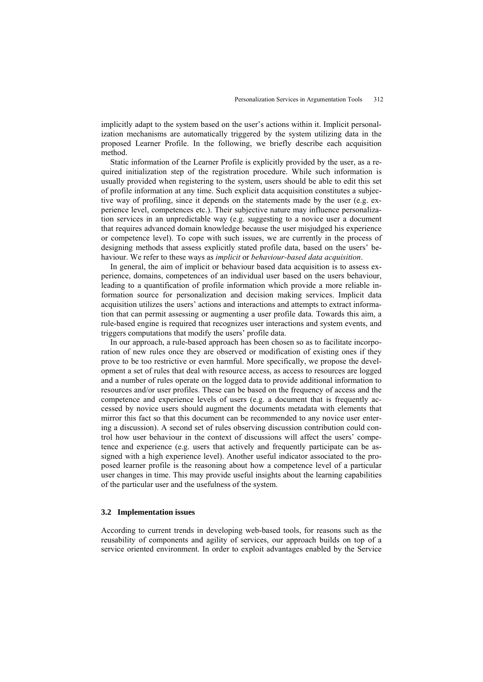implicitly adapt to the system based on the user's actions within it. Implicit personalization mechanisms are automatically triggered by the system utilizing data in the proposed Learner Profile. In the following, we briefly describe each acquisition method.

Static information of the Learner Profile is explicitly provided by the user, as a required initialization step of the registration procedure. While such information is usually provided when registering to the system, users should be able to edit this set of profile information at any time. Such explicit data acquisition constitutes a subjective way of profiling, since it depends on the statements made by the user (e.g. experience level, competences etc.). Their subjective nature may influence personalization services in an unpredictable way (e.g. suggesting to a novice user a document that requires advanced domain knowledge because the user misjudged his experience or competence level). To cope with such issues, we are currently in the process of designing methods that assess explicitly stated profile data, based on the users' behaviour. We refer to these ways as *implicit* or *behaviour-based data acquisition*.

In general, the aim of implicit or behaviour based data acquisition is to assess experience, domains, competences of an individual user based on the users behaviour, leading to a quantification of profile information which provide a more reliable information source for personalization and decision making services. Implicit data acquisition utilizes the users' actions and interactions and attempts to extract information that can permit assessing or augmenting a user profile data. Towards this aim, a rule-based engine is required that recognizes user interactions and system events, and triggers computations that modify the users' profile data.

In our approach, a rule-based approach has been chosen so as to facilitate incorporation of new rules once they are observed or modification of existing ones if they prove to be too restrictive or even harmful. More specifically, we propose the development a set of rules that deal with resource access, as access to resources are logged and a number of rules operate on the logged data to provide additional information to resources and/or user profiles. These can be based on the frequency of access and the competence and experience levels of users (e.g. a document that is frequently accessed by novice users should augment the documents metadata with elements that mirror this fact so that this document can be recommended to any novice user entering a discussion). A second set of rules observing discussion contribution could control how user behaviour in the context of discussions will affect the users' competence and experience (e.g. users that actively and frequently participate can be assigned with a high experience level). Another useful indicator associated to the proposed learner profile is the reasoning about how a competence level of a particular user changes in time. This may provide useful insights about the learning capabilities of the particular user and the usefulness of the system.

#### **3.2 Implementation issues**

According to current trends in developing web-based tools, for reasons such as the reusability of components and agility of services, our approach builds on top of a service oriented environment. In order to exploit advantages enabled by the Service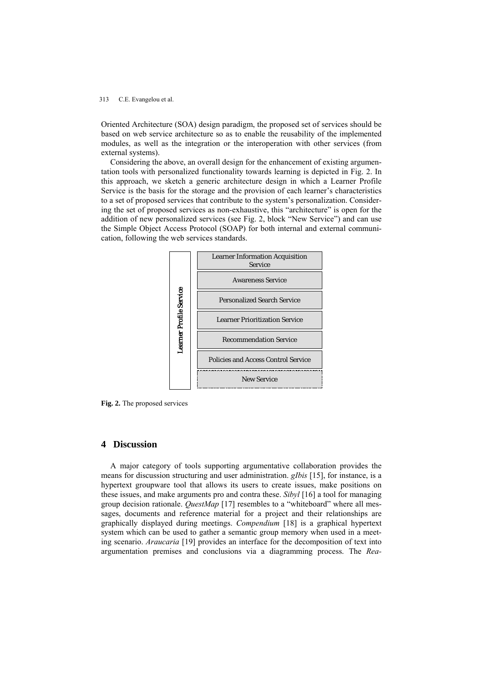#### 313 C.E. Evangelou et al.

Oriented Architecture (SOA) design paradigm, the proposed set of services should be based on web service architecture so as to enable the reusability of the implemented modules, as well as the integration or the interoperation with other services (from external systems).

Considering the above, an overall design for the enhancement of existing argumentation tools with personalized functionality towards learning is depicted in Fig. 2. In this approach, we sketch a generic architecture design in which a Learner Profile Service is the basis for the storage and the provision of each learner's characteristics to a set of proposed services that contribute to the system's personalization. Considering the set of proposed services as non-exhaustive, this "architecture" is open for the addition of new personalized services (see Fig. 2, block "New Service") and can use the Simple Object Access Protocol (SOAP) for both internal and external communication, following the web services standards.



**Fig. 2.** The proposed services

## **4 Discussion**

A major category of tools supporting argumentative collaboration provides the means for discussion structuring and user administration. *gIbis* [15], for instance, is a hypertext groupware tool that allows its users to create issues, make positions on these issues, and make arguments pro and contra these. *Sibyl* [16] a tool for managing group decision rationale. *QuestMap* [17] resembles to a "whiteboard" where all messages, documents and reference material for a project and their relationships are graphically displayed during meetings. *Compendium* [18] is a graphical hypertext system which can be used to gather a semantic group memory when used in a meeting scenario. *Araucaria* [19] provides an interface for the decomposition of text into argumentation premises and conclusions via a diagramming process. The *Rea-*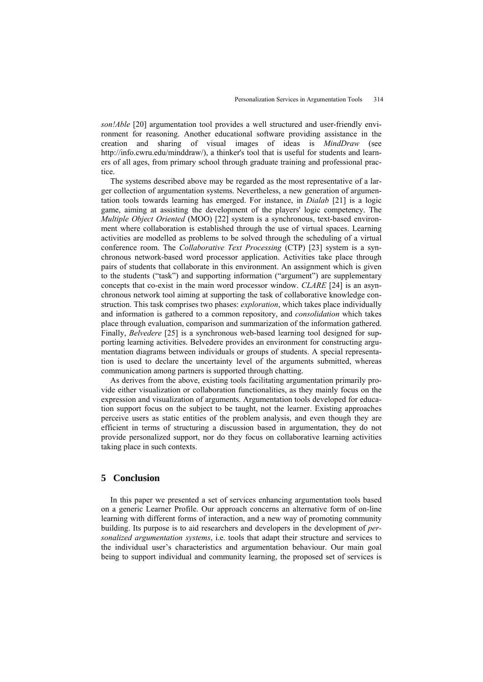*son!Able* [20] argumentation tool provides a well structured and user-friendly environment for reasoning. Another educational software providing assistance in the creation and sharing of visual images of ideas is *MindDraw* (see http://info.cwru.edu/minddraw/), a thinker's tool that is useful for students and learners of all ages, from primary school through graduate training and professional practice.

The systems described above may be regarded as the most representative of a larger collection of argumentation systems. Nevertheless, a new generation of argumentation tools towards learning has emerged. For instance, in *Dialab* [21] is a logic game, aiming at assisting the development of the players' logic competency. The *Multiple Object Oriented* (MOO) [22] system is a synchronous, text-based environment where collaboration is established through the use of virtual spaces. Learning activities are modelled as problems to be solved through the scheduling of a virtual conference room. The *Collaborative Text Processing* (CTP) [23] system is a synchronous network-based word processor application. Activities take place through pairs of students that collaborate in this environment. An assignment which is given to the students ("task") and supporting information ("argument") are supplementary concepts that co-exist in the main word processor window. *CLARE* [24] is an asynchronous network tool aiming at supporting the task of collaborative knowledge construction. This task comprises two phases: *exploration*, which takes place individually and information is gathered to a common repository, and *consolidation* which takes place through evaluation, comparison and summarization of the information gathered. Finally, *Belvedere* [25] is a synchronous web-based learning tool designed for supporting learning activities. Belvedere provides an environment for constructing argumentation diagrams between individuals or groups of students. A special representation is used to declare the uncertainty level of the arguments submitted, whereas communication among partners is supported through chatting.

As derives from the above, existing tools facilitating argumentation primarily provide either visualization or collaboration functionalities, as they mainly focus on the expression and visualization of arguments. Argumentation tools developed for education support focus on the subject to be taught, not the learner. Existing approaches perceive users as static entities of the problem analysis, and even though they are efficient in terms of structuring a discussion based in argumentation, they do not provide personalized support, nor do they focus on collaborative learning activities taking place in such contexts.

# **5 Conclusion**

In this paper we presented a set of services enhancing argumentation tools based on a generic Learner Profile. Our approach concerns an alternative form of on-line learning with different forms of interaction, and a new way of promoting community building. Its purpose is to aid researchers and developers in the development of *personalized argumentation systems*, i.e. tools that adapt their structure and services to the individual user's characteristics and argumentation behaviour. Our main goal being to support individual and community learning, the proposed set of services is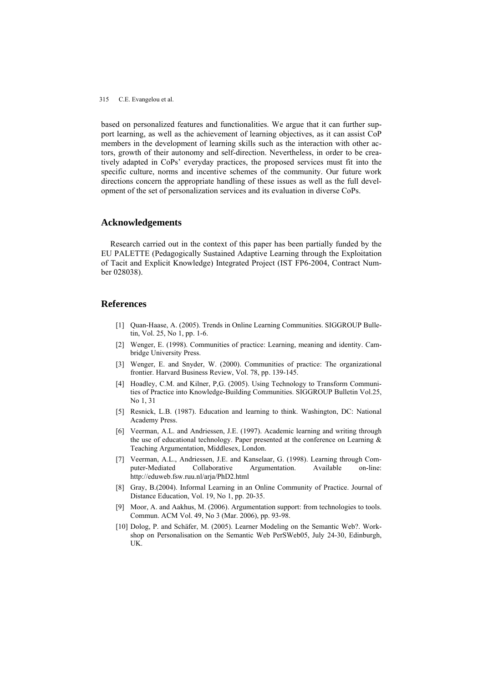315 C.E. Evangelou et al.

based on personalized features and functionalities. We argue that it can further support learning, as well as the achievement of learning objectives, as it can assist CoP members in the development of learning skills such as the interaction with other actors, growth of their autonomy and self-direction. Nevertheless, in order to be creatively adapted in CoPs' everyday practices, the proposed services must fit into the specific culture, norms and incentive schemes of the community. Our future work directions concern the appropriate handling of these issues as well as the full development of the set of personalization services and its evaluation in diverse CoPs.

#### **Acknowledgements**

Research carried out in the context of this paper has been partially funded by the EU PALETTE (Pedagogically Sustained Adaptive Learning through the Exploitation of Tacit and Explicit Knowledge) Integrated Project (IST FP6-2004, Contract Number 028038).

#### **References**

- [1] Quan-Haase, A. (2005). Trends in Online Learning Communities. SIGGROUP Bulletin, Vol. 25, No 1, pp. 1-6.
- [2] Wenger, E. (1998). Communities of practice: Learning, meaning and identity. Cambridge University Press.
- [3] Wenger, E. and Snyder, W. (2000). Communities of practice: The organizational frontier. Harvard Business Review, Vol. 78, pp. 139-145.
- [4] Hoadley, C.M. and Kilner, P,G. (2005). Using Technology to Transform Communities of Practice into Knowledge-Building Communities. SIGGROUP Bulletin Vol.25, No 1, 31
- [5] Resnick, L.B. (1987). Education and learning to think. Washington, DC: National Academy Press.
- [6] Veerman, A.L. and Andriessen, J.E. (1997). Academic learning and writing through the use of educational technology. Paper presented at the conference on Learning & Teaching Argumentation, Middlesex, London.
- [7] Veerman, A.L., Andriessen, J.E. and Kanselaar, G. (1998). Learning through Computer-Mediated Collaborative Argumentation. Available on-line: http://eduweb.fsw.ruu.nl/arja/PhD2.html
- [8] Gray, B.(2004). Informal Learning in an Online Community of Practice. Journal of Distance Education, Vol. 19, No 1, pp. 20-35.
- [9] Moor, A. and Aakhus, M. (2006). Argumentation support: from technologies to tools. Commun. ACM Vol. 49, No 3 (Mar. 2006), pp. 93-98.
- [10] Dolog, P. and Schäfer, M. (2005). Learner Modeling on the Semantic Web?. Workshop on Personalisation on the Semantic Web PerSWeb05, July 24-30, Edinburgh, UK.